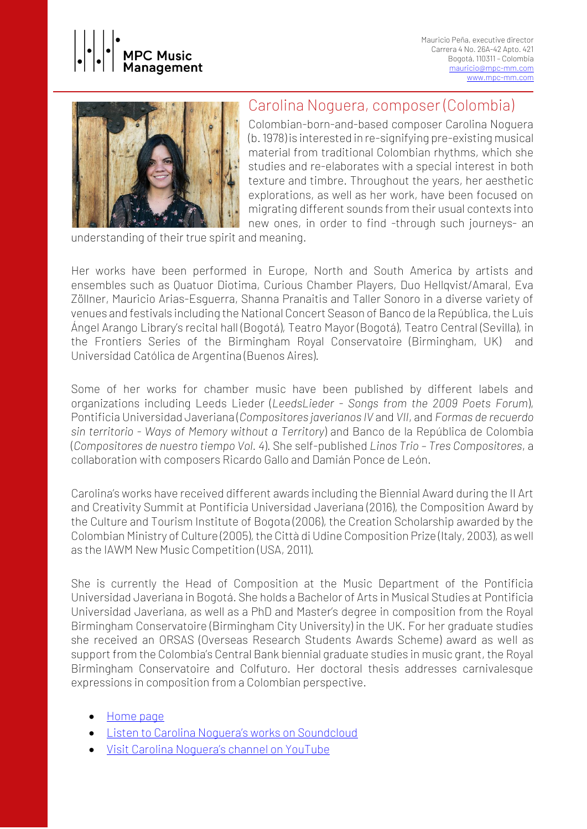



# Carolina Noguera, composer (Colombia)

Colombian-born-and-based composer Carolina Noguera (b. 1978) is interested in re-signifying pre-existing musical material from traditional Colombian rhythms, which she studies and re-elaborates with a special interest in both texture and timbre. Throughout the years, her aesthetic explorations, as well as her work, have been focused on migrating different sounds from their usual contexts into new ones, in order to find -through such journeys- an

understanding of their true spirit and meaning.

Her works have been performed in Europe, North and South America by artists and ensembles such as Quatuor Diotima, Curious Chamber Players, Duo Hellqvist/Amaral, Eva Zöllner, Mauricio Arias-Esguerra, Shanna Pranaitis and Taller Sonoro in a diverse variety of venues and festivals including the National Concert Season of Banco de la República, the Luis Ángel Arango Library's recital hall (Bogotá), Teatro Mayor (Bogotá), Teatro Central (Sevilla), in the Frontiers Series of the Birmingham Royal Conservatoire (Birmingham, UK) and Universidad Católica de Argentina (Buenos Aires).

Some of her works for chamber music have been published by different labels and organizations including Leeds Lieder (*LeedsLieder - Songs from the 2009 Poets Forum*), Pontificia Universidad Javeriana (*Compositores javerianos IV* and *VII*, and *Formas de recuerdo sin territorio - Ways of Memory without a Territory*) and Banco de la República de Colombia (*Compositores de nuestro tiempo Vol. 4*). She self-published *Linos Trio – Tres Compositores*, a collaboration with composers Ricardo Gallo and Damián Ponce de León.

Carolina's works have received different awards including the Biennial Award during the II Art and Creativity Summit at Pontificia Universidad Javeriana (2016), the Composition Award by the Culture and Tourism Institute of Bogota (2006), the Creation Scholarship awarded by the Colombian Ministry of Culture (2005), the Città di Udine Composition Prize (Italy, 2003), as well as the IAWM New Music Competition (USA, 2011).

She is currently the Head of Composition at the Music Department of the Pontificia Universidad Javeriana in Bogotá. She holds a Bachelor of Arts in Musical Studies at Pontificia Universidad Javeriana, as well as a PhD and Master's degree in composition from the Royal Birmingham Conservatoire (Birmingham City University) in the UK. For her graduate studies she received an ORSAS (Overseas Research Students Awards Scheme) award as well as support from the Colombia's Central Bank biennial graduate studies in music grant, the Royal Birmingham Conservatoire and Colfuturo. Her doctoral thesis addresses carnivalesque expressions in composition from a Colombian perspective.

- [Home page](https://www.carolinanoguera.com/)
- Listen to Carolina N[oguera's works on Soundcloud](https://soundcloud.com/carolina-noguera-palau)
- Visit Carolina Noguera's [channel on YouTube](https://www.youtube.com/user/Cassandrasdreamsong/featured)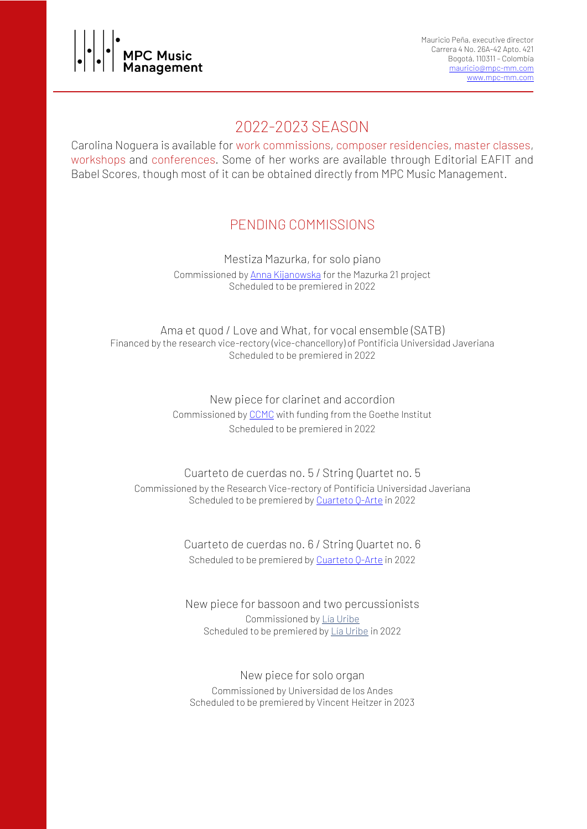

# 2022-2023 SEASON

Carolina Noguera is available for work commissions, composer residencies, master classes, workshops and conferences. Some of her works are available through Editorial EAFIT and Babel Scores, though most of it can be obtained directly from MPC Music Management.

# PENDING COMMISSIONS

Mestiza Mazurka, for solo piano Commissioned by [Anna Kijanowska](https://www.annakijanowska.com/) for the Mazurka 21 project Scheduled to be premiered in 2022

Ama et quod / Love and What, for vocal ensemble (SATB) Financed by the research vice-rectory (vice-chancellory) of Pontificia Universidad Javeriana Scheduled to be premiered in 2022

> New piece for clarinet and accordion Commissioned by [CCMC](https://ccmc.com.co/) with funding from the Goethe Institut Scheduled to be premiered in 2022

## Cuarteto de cuerdas no. 5 / String Quartet no. 5 Commissioned by the Research Vice-rectory of Pontificia Universidad Javeriana Scheduled to be premiered by [Cuarteto](http://qarte.co/) O-Arte in 2022

Cuarteto de cuerdas no. 6 / String Quartet no. 6 Scheduled to be premiered by [Cuarteto](http://qarte.co/) Q-Arte in 2022

New piece for bassoon and two percussionists Commissioned b[y Lía Uribe](https://www.liauribe.com/) Scheduled to be premiered b[y Lía Uribe](https://www.liauribe.com/) in 2022

New piece for solo organ Commissioned by Universidad de los Andes Scheduled to be premiered by Vincent Heitzer in 2023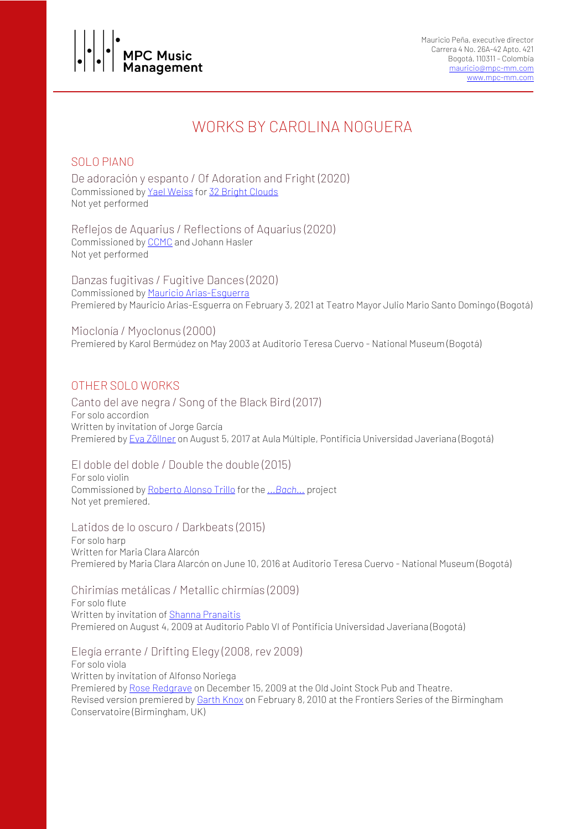

# WORKS BY CAROLINA NOGUERA

## SOLO PIANO

De adoración y espanto / Of Adoration and Fright (2020) Commissioned by Yael [Weiss](http://www.yaelweiss.com/) for 32 Bright [Clouds](https://www.32brightclouds.com/composer/) Not yet performed

Reflejos de Aquarius / Reflections of Aquarius (2020) Commissioned by [CCMC](https://ccmc.com.co/) and Johann Hasler Not yet performed

Danzas fugitivas / Fugitive Dances (2020) Commissioned by Mauricio [Arias-Esguerra](https://www.maemusic.com.co/) Premiered by Mauricio Arias-Esguerra on February 3, 2021 at Teatro Mayor Julio Mario Santo Domingo (Bogotá)

Mioclonía / Myoclonus (2000) Premiered by Karol Bermúdez on May 2003 at Auditorio Teresa Cuervo - National Museum (Bogotá)

# OTHER SOLO WORKS

Canto del ave negra / Song of the Black Bird (2017) For solo accordion Written by invitation of Jorge García Premiered by Eva [Zöllner](http://www.eva-zoellner.de/) on August 5, 2017 at Aula Múltiple, Pontificia Universidad Javeriana (Bogotá)

El doble del doble / Double the double (2015) For solo violin Commissioned by [Roberto](https://robertoalonsotrillo.com/) Alonso Trillo for the *[...Bach...](https://www.routledge.com/Death-and-Re-Birth-of-JS-Bach-Reconsidering-Musical-Authorship-and/Trillo/p/book/9780367732554)* project Not yet premiered.

Latidos de lo oscuro / Darkbeats (2015)

For solo harp Written for Maria Clara Alarcón Premiered by Maria Clara Alarcón on June 10, 2016 at Auditorio Teresa Cuervo - National Museum (Bogotá)

Chirimías metálicas / Metallic chirmías (2009) For solo flute Written by invitation of Shanna [Pranaitis](https://www.shannapranaitis.com/) Premiered on August 4, 2009 at Auditorio Pablo VI of Pontificia Universidad Javeriana (Bogotá)

Elegía errante / Drifting Elegy (2008, rev 2009)

For solo viola Written by invitation of Alfonso Noriega Premiered by Rose [Redgrave](https://www.bcu.ac.uk/conservatoire/about-us/birmingham-conservatoire-tutors-and-staff/rose-redgrave) on December 15, 2009 at the Old Joint Stock Pub and Theatre. Revised version premiered by **[Garth](http://www.garthknox.org/) Knox** on February 8, 2010 at the Frontiers Series of the Birmingham Conservatoire (Birmingham, UK)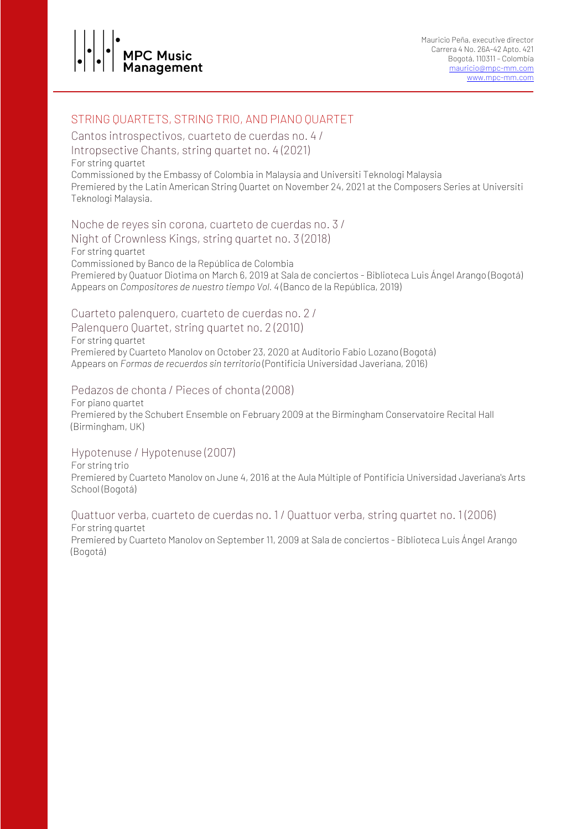

Mauricio Peña, executive director Carrera 4 No. 26A-42 Apto. 421 Bogotá, 110311 – Colombia [mauricio@mpc-mm.com](mailto:mauricio@mpc-mm.com) [www.mpc-mm.com](http://www.mpc-mm.com/)

# STRING QUARTETS, STRING TRIO, AND PIANO QUARTET

Cantos introspectivos, cuarteto de cuerdas no. 4 / Intropsective Chants, string quartet no. 4 (2021) For string quartet Commissioned by the Embassy of Colombia in Malaysia and Universiti Teknologi Malaysia Premiered by the Latin American String Quartet on November 24, 2021 at the Composers Series at Universiti Teknologi Malaysia.

Noche de reyes sin corona, cuarteto de cuerdas no. 3 / Night of Crownless Kings, string quartet no. 3 (2018) For string quartet Commissioned by Banco de la República de Colombia Premiered by Quatuor Diotima on March 6, 2019 at Sala de conciertos - Biblioteca Luis Ángel Arango (Bogotá) Appears on *Compositores de nuestro tiempo Vol. 4* (Banco de la República, 2019)

#### Cuarteto palenquero, cuarteto de cuerdas no. 2 /

Palenquero Quartet, string quartet no. 2 (2010) For string quartet Premiered by Cuarteto Manolov on October 23, 2020 at Auditorio Fabio Lozano (Bogotá) Appears on *Formas de recuerdos sin territorio* (Pontificia Universidad Javeriana, 2016)

#### Pedazos de chonta / Pieces of chonta (2008)

For piano quartet Premiered by the Schubert Ensemble on February 2009 at the Birmingham Conservatoire Recital Hall (Birmingham, UK)

#### Hypotenuse / Hypotenuse (2007)

For string trio Premiered by Cuarteto Manolov on June 4, 2016 at the Aula Múltiple of Pontificia Universidad Javeriana's Arts School (Bogotá)

Quattuor verba, cuarteto de cuerdas no. 1 / Quattuor verba, string quartet no. 1 (2006) For string quartet

Premiered by Cuarteto Manolov on September 11, 2009 at Sala de conciertos - Biblioteca Luis Ángel Arango (Bogotá)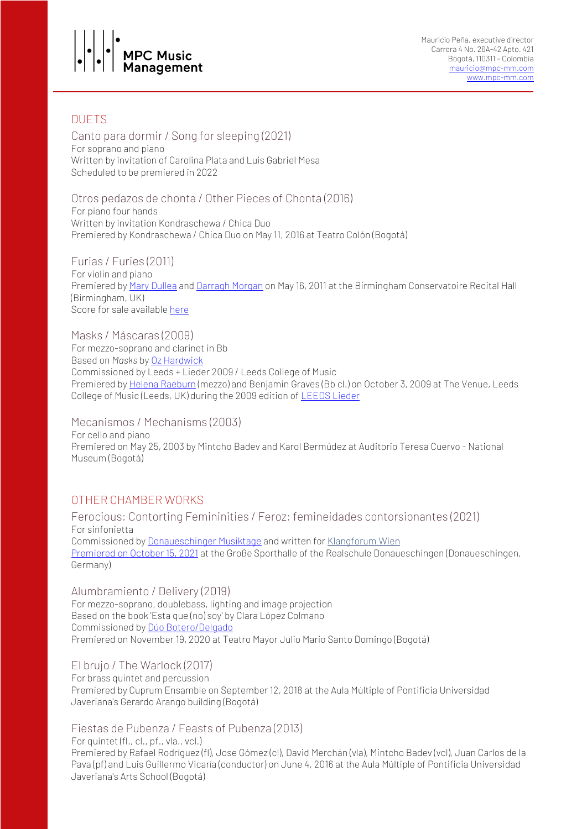

# DUETS

Canto para dormir / Song for sleeping (2021) For soprano and piano Written by invitation of Carolina Plata and Luis Gabriel Mesa Scheduled to be premiered in 2022

## Otros pedazos de chonta / Other Pieces of Chonta (2016)

For piano four hands Written by invitation Kondraschewa / Chica Duo Premiered by Kondraschewa / Chica Duo on May 11, 2016 at Teatro Colón (Bogotá)

Furias / Furies (2011) For violin and piano Premiered by Mary [Dullea](http://www.marydullea.com/) and [Darragh](http://www.darraghmorgan.com/) Morgan on May 16, 2011 at the Birmingham Conservatoire Recital Hall (Birmingham, UK) Score for sale available [here](https://www.eafit.edu.co/cultura-eafit/fondo-editorial/colecciones/Paginas/furias-para-violin-y-piano.aspx)

Masks / Máscaras (2009) For mezzo-soprano and clarinet in Bb Based on *Masks* by Oz [Hardwick](https://ozhardwick.co.uk/) Commissioned by Leeds + Lieder 2009 / Leeds College of Music Premiered by Helena [Raeburn](https://www.helenaraeburn.co.uk/) (mezzo) and Benjamin Graves (Bb cl.) on October 3, 2009 at The Venue, Leeds College of Music (Leeds, UK) during the 2009 edition of [LEEDS](https://leedslieder.org.uk/) Lieder

Mecanismos / Mechanisms (2003)

For cello and piano Premiered on May 25, 2003 by Mintcho Badev and Karol Bermúdez at Auditorio Teresa Cuervo - National Museum (Bogotá)

# OTHER CHAMBER WORKS

Ferocious: Contorting Femininities / Feroz: femineidades contorsionantes (2021) For sinfonietta Commissioned by [Donaueschinger](https://www.swr.de/swrclassic/donaueschinger-musiktage/swrclassic-donaueschinger-musiktage-100.html) Musiktage and written for [Klangforum](https://klangforum.at/en/) Wien [Premiered](https://youtu.be/739kJUCJWSs) on October 15, 2021 at the Große Sporthalle of the Realschule Donaueschingen (Donaueschingen, Germany)

Alumbramiento / Delivery (2019) For mezzo-soprano, doublebass, lighting and image projection Based on the book 'Esta que (no) soy' by Clara López Colmano Commissioned by Dúo [Botero/Delgado](https://www.juanitadelgado.com/boterodelgado) Premiered on November 19, 2020 at Teatro Mayor Julio Mario Santo Domingo (Bogotá)

#### El brujo / The Warlock (2017)

For brass quintet and percussion Premiered by Cuprum Ensamble on September 12, 2018 at the Aula Múltiple of Pontificia Universidad Javeriana's Gerardo Arango building (Bogotá)

#### Fiestas de Pubenza / Feasts of Pubenza (2013)

For quintet (fl., cl., pf., vla., vcl.)

Premiered by Rafael Rodríguez (fl), Jose Gómez (cl), David Merchán (vla), Mintcho Badev (vcl), Juan Carlos de la Pava (pf) and Luis Guillermo Vicaría (conductor) on June 4, 2016 at the Aula Múltiple of Pontificia Universidad Javeriana's Arts School (Bogotá)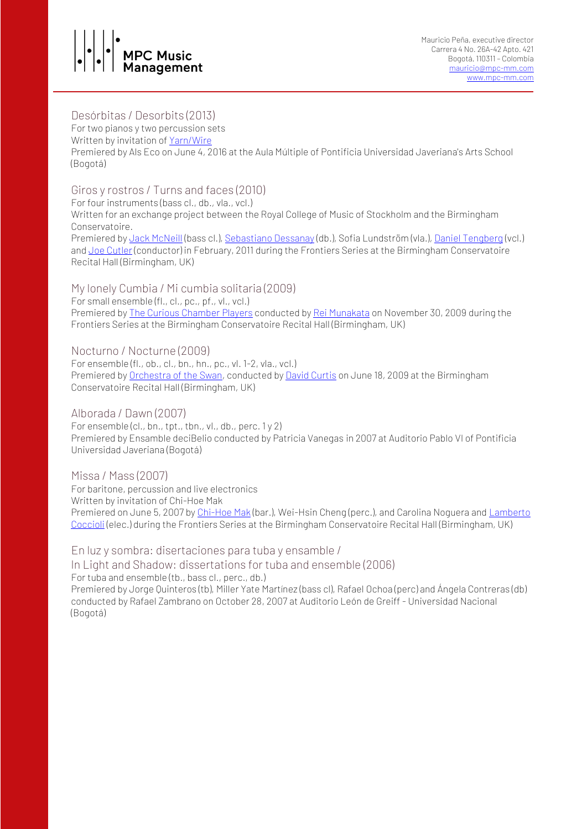# **PC Music** Management

## Desórbitas / Desorbits (2013)

For two pianos y two percussion sets

Written by invitation of [Yarn/Wire](https://www.yarnwire.org/)

Premiered by Als Eco on June 4, 2016 at the Aula Múltiple of Pontificia Universidad Javeriana's Arts School (Bogotá)

# Giros y rostros / Turns and faces (2010)

For four instruments (bass cl., db., vla., vcl.) Written for an exchange project between the Royal College of Music of Stockholm and the Birmingham Conservatoire.

Premiered by Jack [McNeill](https://www.jackmcneill.co.uk/) (bass cl.), [Sebastiano](https://www.sebastianodessanay.com/) Dessanay (db.), Sofia Lundström (vla.), Daniel [Tengberg](http://danieltengberg.com/) (vcl.) and Joe [Cutler](http://joecutler.com/) (conductor) in February, 2011 during the Frontiers Series at the Birmingham Conservatoire Recital Hall (Birmingham, UK)

My lonely Cumbia / Mi cumbia solitaria (2009) For small ensemble (fl., cl., pc., pf., vl., vcl.) Premiered by The Curious [Chamber](https://www.curiouschamberplayers.com/) Players conducted by Rei [Munakata](https://www.reimunakata.net/) on November 30, 2009 during the Frontiers Series at the Birmingham Conservatoire Recital Hall (Birmingham, UK)

Nocturno / Nocturne (2009) For ensemble (fl., ob., cl., bn., hn., pc., vl. 1-2, vla., vcl.) Premiered by [Orchestra](https://orchestraoftheswan.org/) of the Swan, conducted by David [Curtis](https://www.dcurtis.org/) on June 18, 2009 at the Birmingham Conservatoire Recital Hall (Birmingham, UK)

Alborada / Dawn (2007) For ensemble (cl., bn., tpt., tbn., vl., db., perc. 1 y 2) Premiered by Ensamble deciBelio conducted by Patricia Vanegas in 2007 at Auditorio Pablo VI of Pontificia Universidad Javeriana (Bogotá)

Missa / Mass (2007) For baritone, percussion and live electronics Written by invitation of Chi-Hoe Mak Premiered on June 5, 2007 by [Chi-Hoe](http://www.chihoemak.net/) Mak (bar.), Wei-Hsin Cheng (perc.), and Carolina Noguera and [Lamberto](https://www.lambertococcioli.com/) [Coccioli](https://www.lambertococcioli.com/) (elec.) during the Frontiers Series at the Birmingham Conservatoire Recital Hall (Birmingham, UK)

En luz y sombra: disertaciones para tuba y ensamble / In Light and Shadow: dissertations for tuba and ensemble (2006) For tuba and ensemble (tb., bass cl., perc., db.) Premiered by Jorge Quinteros (tb), Miller Yate Martínez (bass cl), Rafael Ochoa (perc) and Ángela Contreras (db) conducted by Rafael Zambrano on October 28, 2007 at Auditorio León de Greiff - Universidad Nacional (Bogotá)